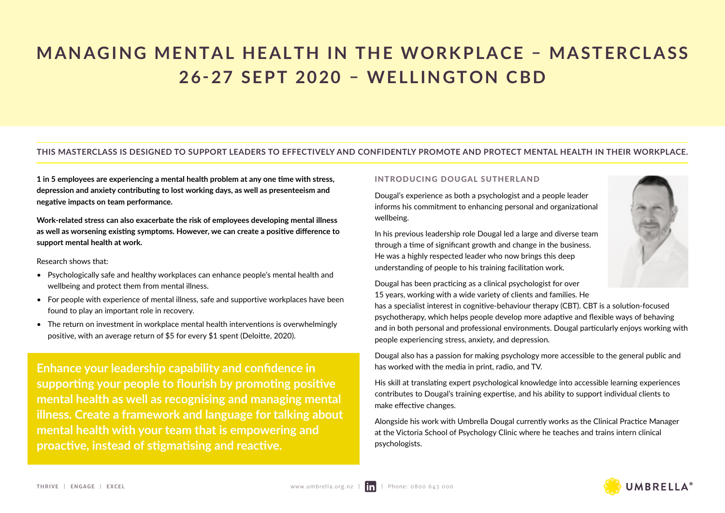# **MANAGING MENTAL HEALTH IN THE WORKPLACE – MASTERCLASS 26-27 SEPT 2020 – WELLINGTON CBD**

### **THIS MASTERCLASS IS DESIGNED TO SUPPORT LEADERS TO EFFECTIVELY AND CONFIDENTLY PROMOTE AND PROTECT MENTAL HEALTH IN THEIR WORKPLACE.**

**1 in 5 employees are experiencing a mental health problem at any one time with stress, depression and anxiety contributing to lost working days, as well as presenteeism and negative impacts on team performance.** 

**Work-related stress can also exacerbate the risk of employees developing mental illness as well as worsening existing symptoms. However, we can create a positive difference to support mental health at work.** 

Research shows that:

- Psychologically safe and healthy workplaces can enhance people's mental health and wellbeing and protect them from mental illness.
- For people with experience of mental illness, safe and supportive workplaces have been found to play an important role in recovery.
- The return on investment in workplace mental health interventions is overwhelmingly positive, with an average return of \$5 for every \$1 spent (Deloitte, 2020).

**Enhance your leadership capability and confidence in supporting your people to flourish by promoting positive mental health as well as recognising and managing mental illness. Create a framework and language for talking about mental health with your team that is empowering and proactive, instead of stigmatising and reactive.**

#### INTRODUCING DOUGAL SUTHERLAND

Dougal's experience as both a psychologist and a people leader informs his commitment to enhancing personal and organizational wellbeing.

In his previous leadership role Dougal led a large and diverse team through a time of significant growth and change in the business. He was a highly respected leader who now brings this deep understanding of people to his training facilitation work.

Dougal has been practicing as a clinical psychologist for over 15 years, working with a wide variety of clients and families. He

has a specialist interest in cognitive-behaviour therapy (CBT). CBT is a solution-focused psychotherapy, which helps people develop more adaptive and flexible ways of behaving and in both personal and professional environments. Dougal particularly enjoys working with people experiencing stress, anxiety, and depression.

Dougal also has a passion for making psychology more accessible to the general public and has worked with the media in print, radio, and TV.

His skill at translating expert psychological knowledge into accessible learning experiences contributes to Dougal's training expertise, and his ability to support individual clients to make effective changes.

Alongside his work with Umbrella Dougal currently works as the Clinical Practice Manager at the Victoria School of Psychology Clinic where he teaches and trains intern clinical psychologists.